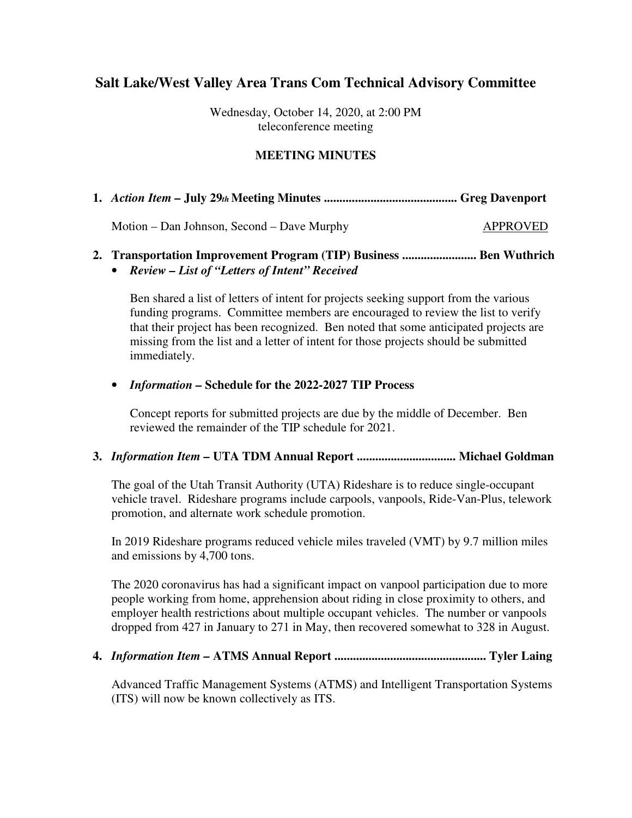## **Salt Lake/West Valley Area Trans Com Technical Advisory Committee**

Wednesday, October 14, 2020, at 2:00 PM teleconference meeting

#### **MEETING MINUTES**

**1.** *Action Item –* **July 29***th* **Meeting Minutes ........................................... Greg Davenport** 

Motion – Dan Johnson, Second – Dave Murphy APPROVED

### **2. Transportation Improvement Program (TIP) Business ........................ Ben Wuthrich**

• *Review – List of "Letters of Intent" Received* 

Ben shared a list of letters of intent for projects seeking support from the various funding programs. Committee members are encouraged to review the list to verify that their project has been recognized. Ben noted that some anticipated projects are missing from the list and a letter of intent for those projects should be submitted immediately.

#### • *Information –* **Schedule for the 2022-2027 TIP Process**

Concept reports for submitted projects are due by the middle of December. Ben reviewed the remainder of the TIP schedule for 2021.

#### **3.** *Information Item –* **UTA TDM Annual Report ................................ Michael Goldman**

The goal of the Utah Transit Authority (UTA) Rideshare is to reduce single-occupant vehicle travel. Rideshare programs include carpools, vanpools, Ride-Van-Plus, telework promotion, and alternate work schedule promotion.

In 2019 Rideshare programs reduced vehicle miles traveled (VMT) by 9.7 million miles and emissions by 4,700 tons.

The 2020 coronavirus has had a significant impact on vanpool participation due to more people working from home, apprehension about riding in close proximity to others, and employer health restrictions about multiple occupant vehicles. The number or vanpools dropped from 427 in January to 271 in May, then recovered somewhat to 328 in August.

#### **4.** *Information Item –* **ATMS Annual Report ................................................. Tyler Laing**

Advanced Traffic Management Systems (ATMS) and Intelligent Transportation Systems (ITS) will now be known collectively as ITS.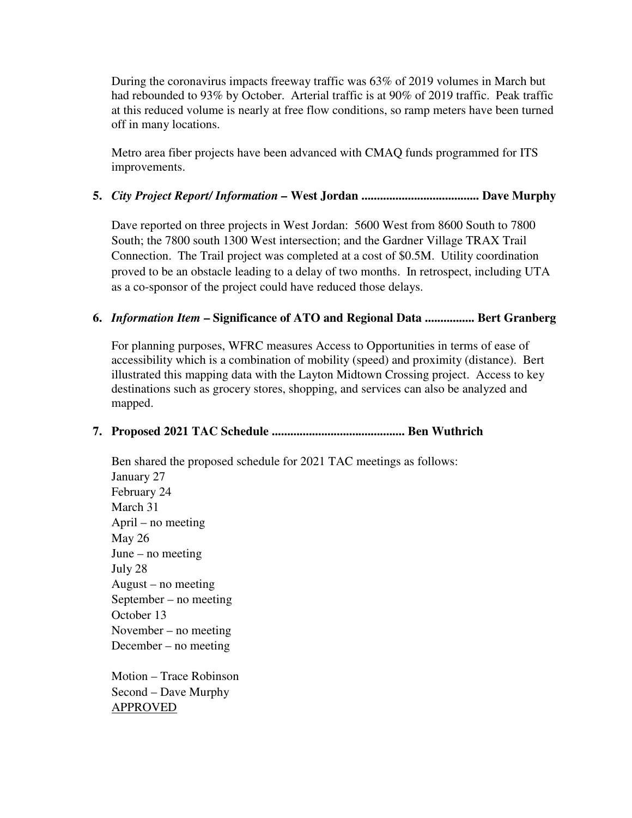During the coronavirus impacts freeway traffic was 63% of 2019 volumes in March but had rebounded to 93% by October. Arterial traffic is at 90% of 2019 traffic. Peak traffic at this reduced volume is nearly at free flow conditions, so ramp meters have been turned off in many locations.

Metro area fiber projects have been advanced with CMAQ funds programmed for ITS improvements.

#### **5.** *City Project Report/ Information –* **West Jordan ...................................... Dave Murphy**

Dave reported on three projects in West Jordan: 5600 West from 8600 South to 7800 South; the 7800 south 1300 West intersection; and the Gardner Village TRAX Trail Connection. The Trail project was completed at a cost of \$0.5M. Utility coordination proved to be an obstacle leading to a delay of two months. In retrospect, including UTA as a co-sponsor of the project could have reduced those delays.

#### **6.** *Information Item* **– Significance of ATO and Regional Data ................ Bert Granberg**

For planning purposes, WFRC measures Access to Opportunities in terms of ease of accessibility which is a combination of mobility (speed) and proximity (distance). Bert illustrated this mapping data with the Layton Midtown Crossing project. Access to key destinations such as grocery stores, shopping, and services can also be analyzed and mapped.

#### **7. Proposed 2021 TAC Schedule ........................................... Ben Wuthrich**

Ben shared the proposed schedule for 2021 TAC meetings as follows: January 27 February 24 March 31 April – no meeting May 26 June – no meeting July 28 August – no meeting September – no meeting October 13 November – no meeting December – no meeting

Motion – Trace Robinson Second – Dave Murphy APPROVED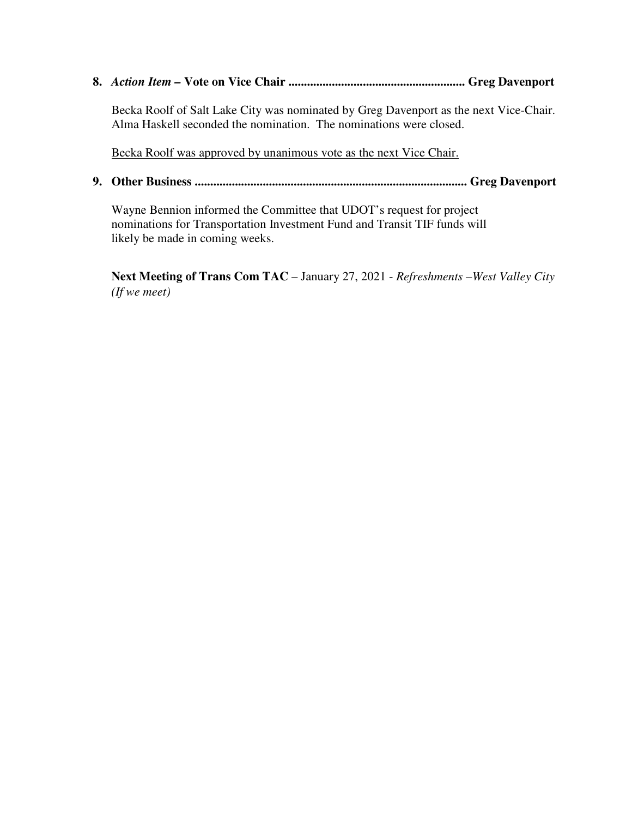**8.** *Action Item –* **Vote on Vice Chair ......................................................... Greg Davenport** 

Becka Roolf of Salt Lake City was nominated by Greg Davenport as the next Vice-Chair. Alma Haskell seconded the nomination. The nominations were closed.

Becka Roolf was approved by unanimous vote as the next Vice Chair.

**9. Other Business ........................................................................................ Greg Davenport** 

Wayne Bennion informed the Committee that UDOT's request for project nominations for Transportation Investment Fund and Transit TIF funds will likely be made in coming weeks.

**Next Meeting of Trans Com TAC** – January 27, 2021 - *Refreshments –West Valley City (If we meet)*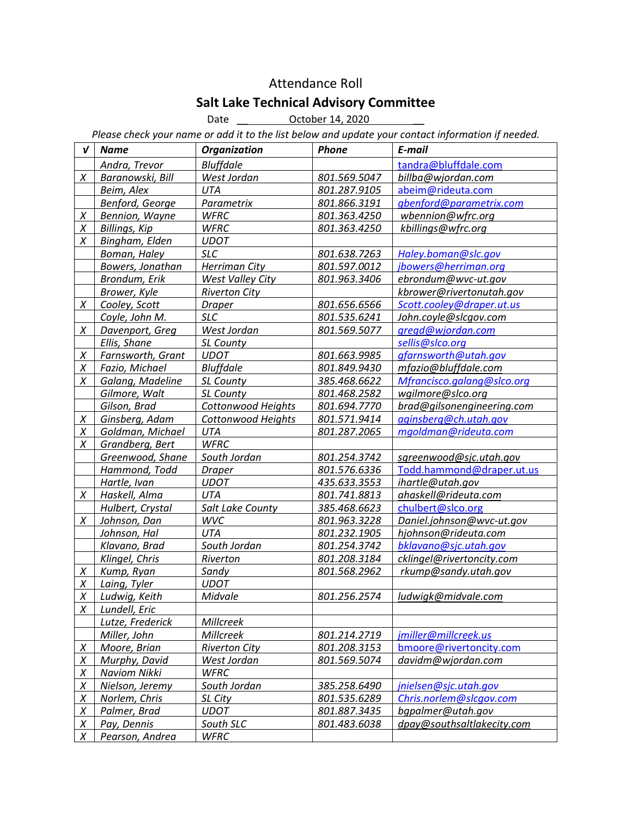# Attendance Roll

## Salt Lake Technical Advisory Committee

Date **\_\_\_\_\_\_\_\_\_\_\_ October 14, 2020** 

Please check your name or add it to the list below and update your contact information if needed.

| V      | <b>Name</b>            | <b>Organization</b>  | Phone        | E-mail                     |
|--------|------------------------|----------------------|--------------|----------------------------|
|        | Andra, Trevor          | <b>Bluffdale</b>     |              | tandra@bluffdale.com       |
| X      | Baranowski, Bill       | West Jordan          | 801.569.5047 | billba@wjordan.com         |
|        | Beim, Alex             | <b>UTA</b>           | 801.287.9105 | abeim@rideuta.com          |
|        | Benford, George        | Parametrix           | 801.866.3191 | gbenford@parametrix.com    |
| X      | <b>Bennion</b> , Wayne | <b>WFRC</b>          | 801.363.4250 | wbennion@wfrc.org          |
| X      | <b>Billings, Kip</b>   | <b>WFRC</b>          | 801.363.4250 | kbillings@wfrc.org         |
| X      | Bingham, Elden         | <b>UDOT</b>          |              |                            |
|        | Boman, Haley           | <b>SLC</b>           | 801.638.7263 | Haley.boman@slc.gov        |
|        | Bowers, Jonathan       | <b>Herriman City</b> | 801.597.0012 | jbowers@herriman.org       |
|        | Brondum, Erik          | West Valley City     | 801.963.3406 | ebrondum@wvc-ut.gov        |
|        | Brower, Kyle           | <b>Riverton City</b> |              | kbrower@rivertonutah.gov   |
| X      | Cooley, Scott          | <b>Draper</b>        | 801.656.6566 | Scott.cooley@draper.ut.us  |
|        | Coyle, John M.         | <b>SLC</b>           | 801.535.6241 | John.coyle@slcgov.com      |
| X      | Davenport, Greg        | West Jordan          | 801.569.5077 | gregd@wjordan.com          |
|        | Ellis, Shane           | SL County            |              | sellis@slco.org            |
| Χ      | Farnsworth, Grant      | <b>UDOT</b>          | 801.663.9985 | gfarnsworth@utah.gov       |
| X      | Fazio, Michael         | <b>Bluffdale</b>     | 801.849.9430 | mfazio@bluffdale.com       |
| X      | Galang, Madeline       | SL County            | 385.468.6622 | Mfrancisco.galang@slco.org |
|        | Gilmore, Walt          | SL County            | 801.468.2582 | wgilmore@slco.org          |
|        | Gilson, Brad           | Cottonwood Heights   | 801.694.7770 | brad@gilsonengineering.com |
| X      | Ginsberg, Adam         | Cottonwood Heights   | 801.571.9414 | aginsberg@ch.utah.gov      |
| X      | Goldman, Michael       | UTA                  | 801.287.2065 | mgoldman@rideuta.com       |
| X      | Grandberg, Bert        | <b>WFRC</b>          |              |                            |
|        | Greenwood, Shane       | South Jordan         | 801.254.3742 | sgreenwood@sjc.utah.gov    |
|        | Hammond, Todd          | <b>Draper</b>        | 801.576.6336 | Todd.hammond@draper.ut.us  |
|        | Hartle, Ivan           | <b>UDOT</b>          | 435.633.3553 | ihartle@utah.gov           |
| X      | Haskell, Alma          | <b>UTA</b>           | 801.741.8813 | ahaskell@rideuta.com       |
|        | Hulbert, Crystal       | Salt Lake County     | 385.468.6623 | chulbert@slco.org          |
| X      | Johnson, Dan           | <b>WVC</b>           | 801.963.3228 | Daniel.johnson@wvc-ut.gov  |
|        | Johnson, Hal           | <b>UTA</b>           | 801.232.1905 | hjohnson@rideuta.com       |
|        | Klavano, Brad          | South Jordan         | 801.254.3742 | bklavano@sjc.utah.gov      |
|        | Klingel, Chris         | Riverton             | 801.208.3184 | cklingel@rivertoncity.com  |
| X      | Kump, Ryan             | Sandy                | 801.568.2962 | rkump@sandy.utah.gov       |
| X      | Laing, Tyler           | <b>UDOT</b>          |              |                            |
| X      | Ludwig, Keith          | Midvale              | 801.256.2574 | ludwigk@midvale.com        |
| X      | Lundell, Eric          |                      |              |                            |
|        | Lutze, Frederick       | Millcreek            |              |                            |
|        | Miller, John           | Millcreek            | 801.214.2719 | jmiller@millcreek.us       |
| X      | Moore, Brian           | <b>Riverton City</b> | 801.208.3153 | bmoore@rivertoncity.com    |
| X      | Murphy, David          | West Jordan          | 801.569.5074 | davidm@wjordan.com         |
| Χ      | <b>Naviom Nikki</b>    | <b>WFRC</b>          |              |                            |
| X      | Nielson, Jeremy        | South Jordan         | 385.258.6490 | jnielsen@sjc.utah.gov      |
| X      | Norlem, Chris          | SL City              | 801.535.6289 | Chris.norlem@slcgov.com    |
| X      | Palmer, Brad           | <b>UDOT</b>          | 801.887.3435 | bgpalmer@utah.gov          |
| Χ      | Pay, Dennis            | South SLC            | 801.483.6038 | dpay@southsaltlakecity.com |
| $\chi$ | Pearson, Andrea        | <b>WFRC</b>          |              |                            |